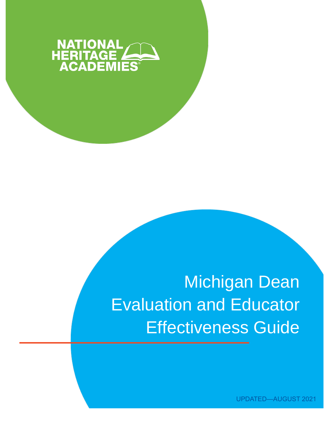

# **Michigan Dean Evaluation and Educator Effectiveness Guide**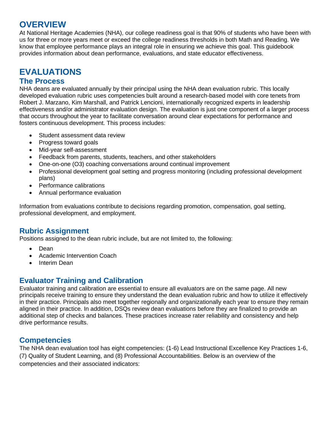### **OVERVIEW**

At National Heritage Academies (NHA), our college readiness goal is that 90% of students who have been with us for three or more years meet or exceed the college readiness thresholds in both Math and Reading. We know that employee performance plays an integral role in ensuring we achieve this goal. This guidebook provides information about dean performance, evaluations, and state educator effectiveness.

## **EVALUATIONS**

#### **The Process**

NHA deans are evaluated annually by their principal using the NHA dean evaluation rubric. This locally developed evaluation rubric uses competencies built around a research-based model with core tenets from Robert J. Marzano, Kim Marshall, and Patrick Lencioni, internationally recognized experts in leadership effectiveness and/or administrator evaluation design. The evaluation is just one component of a larger process that occurs throughout the year to facilitate conversation around clear expectations for performance and fosters continuous development. This process includes:

- Student assessment data review
- Progress toward goals
- Mid-year self-assessment
- Feedback from parents, students, teachers, and other stakeholders
- One-on-one (O3) coaching conversations around continual improvement
- Professional development goal setting and progress monitoring (including professional development plans)
- Performance calibrations
- Annual performance evaluation

Information from evaluations contribute to decisions regarding promotion, compensation, goal setting, professional development, and employment.

#### **Rubric Assignment**

Positions assigned to the dean rubric include, but are not limited to, the following:

- Dean
- Academic Intervention Coach
- Interim Dean

#### **Evaluator Training and Calibration**

Evaluator training and calibration are essential to ensure all evaluators are on the same page. All new principals receive training to ensure they understand the dean evaluation rubric and how to utilize it effectively in their practice. Principals also meet together regionally and organizationally each year to ensure they remain aligned in their practice. In addition, DSQs review dean evaluations before they are finalized to provide an additional step of checks and balances. These practices increase rater reliability and consistency and help drive performance results.

#### **Competencies**

The NHA dean evaluation tool has eight competencies: (1-6) Lead Instructional Excellence Key Practices 1-6, (7) Quality of Student Learning, and (8) Professional Accountabilities. Below is an overview of the competencies and their associated indicators: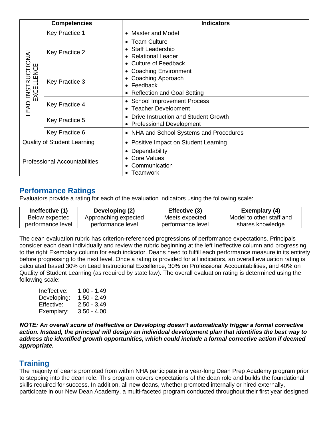| <b>Competencies</b>                  |                | <b>Indicators</b>                                                                                                                               |
|--------------------------------------|----------------|-------------------------------------------------------------------------------------------------------------------------------------------------|
| LEAD INSTRUCTIONAL<br>EXCELLENCE     | Key Practice 1 | <b>Master and Model</b><br>$\bullet$                                                                                                            |
|                                      | Key Practice 2 | <b>Team Culture</b><br>$\bullet$<br><b>Staff Leadership</b><br>$\bullet$<br><b>Relational Leader</b><br>$\bullet$<br><b>Culture of Feedback</b> |
|                                      | Key Practice 3 | <b>Coaching Environment</b><br>٠<br>Coaching Approach<br>Feedback<br>$\bullet$<br><b>Reflection and Goal Setting</b>                            |
|                                      | Key Practice 4 | <b>School Improvement Process</b><br>$\bullet$<br><b>Teacher Development</b><br>$\bullet$                                                       |
|                                      | Key Practice 5 | Drive Instruction and Student Growth<br>$\bullet$<br><b>Professional Development</b><br>$\bullet$                                               |
|                                      | Key Practice 6 | NHA and School Systems and Procedures<br>$\bullet$                                                                                              |
| <b>Quality of Student Learning</b>   |                | Positive Impact on Student Learning<br>$\bullet$                                                                                                |
| <b>Professional Accountabilities</b> |                | Dependability<br>$\bullet$<br><b>Core Values</b><br>Communication<br>$\bullet$<br>Teamwork                                                      |

#### **Performance Ratings**

Evaluators provide a rating for each of the evaluation indicators using the following scale:

| Ineffective (1)   | Developing (2)       | Effective (3)     | Exemplary (4)            |
|-------------------|----------------------|-------------------|--------------------------|
| Below expected    | Approaching expected | Meets expected    | Model to other staff and |
| performance level | performance level    | performance level | shares knowledge         |

The dean evaluation rubric has criterion-referenced progressions of performance expectations. Principals consider each dean individually and review the rubric beginning at the left Ineffective column and progressing to the right Exemplary column for each indicator. Deans need to fulfill each performance measure in its entirety before progressing to the next level. Once a rating is provided for all indicators, an overall evaluation rating is calculated based 30% on Lead Instructional Excellence, 30% on Professional Accountabilities, and 40% on Quality of Student Learning (as required by state law). The overall evaluation rating is determined using the following scale:

| Ineffective: | 1.00 - 1.49   |
|--------------|---------------|
| Developing:  | 1.50 - 2.49   |
| Effective:   | $2.50 - 3.49$ |
| Exemplary:   | $3.50 - 4.00$ |

*NOTE: An overall score of Ineffective or Developing doesn't automatically trigger a formal corrective action. Instead, the principal will design an individual development plan that identifies the best way to address the identified growth opportunities, which could include a formal corrective action if deemed appropriate.* 

#### **Training**

The majority of deans promoted from within NHA participate in a year-long Dean Prep Academy program prior to stepping into the dean role. This program covers expectations of the dean role and builds the foundational skills required for success. In addition, all new deans, whether promoted internally or hired externally, participate in our New Dean Academy, a multi-faceted program conducted throughout their first year designed